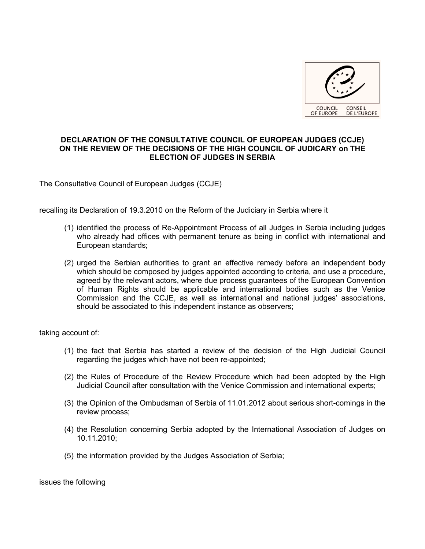

## **DECLARATION OF THE CONSULTATIVE COUNCIL OF EUROPEAN JUDGES (CCJE) ON THE REVIEW OF THE DECISIONS OF THE HIGH COUNCIL OF JUDICARY on THE ELECTION OF JUDGES IN SERBIA**

The Consultative Council of European Judges (CCJE)

recalling its Declaration of 19.3.2010 on the Reform of the Judiciary in Serbia where it

- (1) identified the process of Re-Appointment Process of all Judges in Serbia including judges who already had offices with permanent tenure as being in conflict with international and European standards;
- (2) urged the Serbian authorities to grant an effective remedy before an independent body which should be composed by judges appointed according to criteria, and use a procedure, agreed by the relevant actors, where due process guarantees of the European Convention of Human Rights should be applicable and international bodies such as the Venice Commission and the CCJE, as well as international and national judges' associations, should be associated to this independent instance as observers;

taking account of:

- (1) the fact that Serbia has started a review of the decision of the High Judicial Council regarding the judges which have not been re-appointed;
- (2) the Rules of Procedure of the Review Procedure which had been adopted by the High Judicial Council after consultation with the Venice Commission and international experts;
- (3) the Opinion of the Ombudsman of Serbia of 11.01.2012 about serious short-comings in the review process;
- (4) the Resolution concerning Serbia adopted by the International Association of Judges on 10.11.2010;
- (5) the information provided by the Judges Association of Serbia;

issues the following